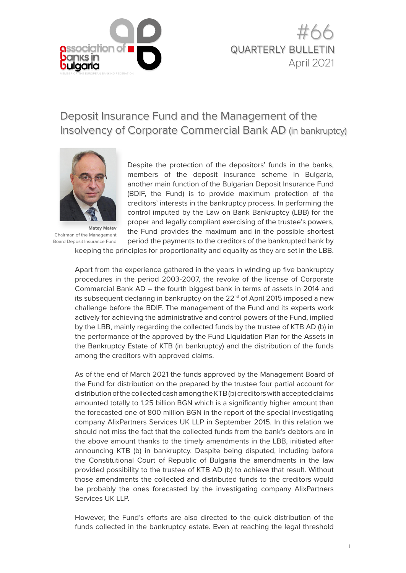

# Deposit Insurance Fund and the Management of the Insolvency of Corporate Commercial Bank AD (in bankruptcy)



**Matey Matev**  Chairman of the Management Board Deposit Insurance Fund

Despite the protection of the depositors' funds in the banks, members of the deposit insurance scheme in Bulgaria, another main function of the Bulgarian Deposit Insurance Fund (BDIF, the Fund) is to provide maximum protection of the creditors' interests in the bankruptcy process. In performing the control imputed by the Law on Bank Bankruptcy (LBB) for the proper and legally compliant exercising of the trustee's powers, the Fund provides the maximum and in the possible shortest period the payments to the creditors of the bankrupted bank by

keeping the principles for proportionality and equality as they are set in the LBB.

Apart from the experience gathered in the years in winding up five bankruptcy procedures in the period 2003-2007, the revoke of the license of Corporate Commercial Bank AD – the fourth biggest bank in terms of assets in 2014 and its subsequent declaring in bankruptcy on the 22<sup>nd</sup> of April 2015 imposed a new challenge before the BDIF. The management of the Fund and its experts work actively for achieving the administrative and control powers of the Fund, implied by the LBB, mainly regarding the collected funds by the trustee of KTB AD (b) in the performance of the approved by the Fund Liquidation Plan for the Assets in the Bankruptcy Estate of KTB (in bankruptcy) and the distribution of the funds among the creditors with approved claims.

As of the end of March 2021 the funds approved by the Management Board of the Fund for distribution on the prepared by the trustee four partial account for distribution of the collected cash among the KTB (b) creditors with accepted claims amounted totally to 1,25 billion BGN which is a significantly higher amount than the forecasted one of 800 million BGN in the report of the special investigating company AlixPartners Services UK LLP in September 2015. In this relation we should not miss the fact that the collected funds from the bank's debtors are in the above amount thanks to the timely amendments in the LBB, initiated after announcing KTB (b) in bankruptcy. Despite being disputed, including before the Constitutional Court of Republic of Bulgaria the amendments in the law provided possibility to the trustee of KTB AD (b) to achieve that result. Without those amendments the collected and distributed funds to the creditors would be probably the ones forecasted by the investigating company AlixPartners Services UK LLP.

However, the Fund's efforts are also directed to the quick distribution of the funds collected in the bankruptcy estate. Even at reaching the legal threshold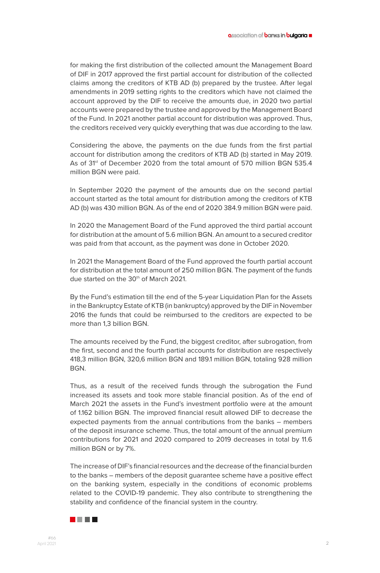for making the first distribution of the collected amount the Management Board of DIF in 2017 approved the first partial account for distribution of the collected claims among the creditors of KTB AD (b) prepared by the trustee. After legal amendments in 2019 setting rights to the creditors which have not claimed the account approved by the DIF to receive the amounts due, in 2020 two partial accounts were prepared by the trustee and approved by the Management Board of the Fund. In 2021 another partial account for distribution was approved. Thus, the creditors received very quickly everything that was due according to the law.

Considering the above, the payments on the due funds from the first partial account for distribution among the creditors of KTB AD (b) started in May 2019. As of 31<sup>st</sup> of December 2020 from the total amount of 570 million BGN 535.4 million BGN were paid.

In September 2020 the payment of the amounts due on the second partial account started as the total amount for distribution among the creditors of KTB AD (b) was 430 million BGN. As of the end of 2020 384.9 million BGN were paid.

In 2020 the Management Board of the Fund approved the third partial account for distribution at the amount of 5.6 million BGN. An amount to a secured creditor was paid from that account, as the payment was done in October 2020.

In 2021 the Management Board of the Fund approved the fourth partial account for distribution at the total amount of 250 million BGN. The payment of the funds due started on the 30<sup>th</sup> of March 2021.

By the Fund's estimation till the end of the 5-year Liquidation Plan for the Assets in the Bankruptcy Estate of KTB (in bankruptcy) approved by the DIF in November 2016 the funds that could be reimbursed to the creditors are expected to be more than 1,3 billion BGN.

The amounts received by the Fund, the biggest creditor, after subrogation, from the first, second and the fourth partial accounts for distribution are respectively 418,3 million BGN, 320,6 million BGN and 189.1 million BGN, totaling 928 million BGN.

Thus, as a result of the received funds through the subrogation the Fund increased its assets and took more stable financial position. As of the end of March 2021 the assets in the Fund's investment portfolio were at the amount of 1.162 billion BGN. The improved financial result allowed DIF to decrease the expected payments from the annual contributions from the banks – members of the deposit insurance scheme. Thus, the total amount of the annual premium contributions for 2021 and 2020 compared to 2019 decreases in total by 11.6 million BGN or by 7%.

The increase of DIF's financial resources and the decrease of the financial burden to the banks – members of the deposit guarantee scheme have a positive effect on the banking system, especially in the conditions of economic problems related to the COVID-19 pandemic. They also contribute to strengthening the stability and confidence of the financial system in the country.

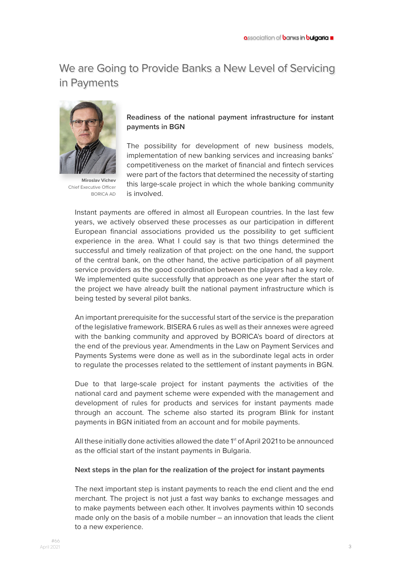# We are Going to Provide Banks a New Level of Servicing in Payments



**Miroslav Vichev** Chief Executive Officer BORICA AD

### **Readiness of the national payment infrastructure for instant payments in BGN**

The possibility for development of new business models, implementation of new banking services and increasing banks' competitiveness on the market of financial and fintech services were part of the factors that determined the necessity of starting this large-scale project in which the whole banking community is involved.

Instant payments are offered in almost all European countries. In the last few years, we actively observed these processes as our participation in different European financial associations provided us the possibility to get sufficient experience in the area. What I could say is that two things determined the successful and timely realization of that project: on the one hand, the support of the central bank, on the other hand, the active participation of all payment service providers as the good coordination between the players had a key role. We implemented quite successfully that approach as one year after the start of the project we have already built the national payment infrastructure which is being tested by several pilot banks.

An important prerequisite for the successful start of the service is the preparation of the legislative framework. BISERA 6 rules as well as their annexes were agreed with the banking community and approved by BORICA's board of directors at the end of the previous year. Amendments in the Law on Payment Services and Payments Systems were done as well as in the subordinate legal acts in order to regulate the processes related to the settlement of instant payments in BGN.

Due to that large-scale project for instant payments the activities of the national card and payment scheme were expended with the management and development of rules for products and services for instant payments made through an account. The scheme also started its program Blink for instant payments in BGN initiated from an account and for mobile payments.

All these initially done activities allowed the date 1<sup>st</sup> of April 2021 to be announced as the official start of the instant payments in Bulgaria.

#### **Next steps in the plan for the realization of the project for instant payments**

The next important step is instant payments to reach the end client and the end merchant. Thе project is not just a fast way banks to exchange messages and to make payments between each other. It involves payments within 10 seconds made only on the basis of a mobile number – an innovation that leads the client to a new experience.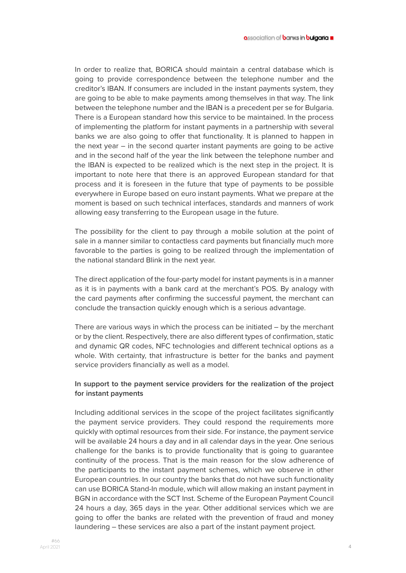In order to realize that, BORICA should maintain a central database which is going to provide correspondence between the telephone number and the creditor's IBAN. If consumers are included in the instant payments system, they are going to be able to make payments among themselves in that way. The link between the telephone number and the IBAN is a precedent per se for Bulgaria. There is a European standard how this service to be maintained. In the process of implementing the platform for instant payments in a partnership with several banks we are also going to offer that functionality. It is planned to happen in the next year – in the second quarter instant payments are going to be active and in the second half of the year the link between the telephone number and the IBAN is expected to be realized which is the next step in the project. It is important to note here that there is an approved European standard for that process and it is foreseen in the future that type of payments to be possible everywhere in Europe based on euro instant payments. What we prepare at the moment is based on such technical interfaces, standards and manners of work allowing easy transferring to the European usage in the future.

The possibility for the client to pay through a mobile solution at the point of sale in a manner similar to contactless card payments but financially much more favorable to the parties is going to be realized through the implementation of the national standard Blink in the next year.

The direct application of the four-party model for instant payments is in a manner as it is in payments with a bank card at the merchant's POS. By analogy with the card payments after confirming the successful payment, the merchant can conclude the transaction quickly enough which is a serious advantage.

There are various ways in which the process can be initiated – by the merchant or by the client. Respectively, there are also different types of confirmation, static and dynamic QR codes, NFC technologies and different technical options as a whole. With certainty, that infrastructure is better for the banks and payment service providers financially as well as a model.

#### **In support to the payment service providers for the realization of the project for instant payments**

Including additional services in the scope of the project facilitates significantly the payment service providers. They could respond the requirements more quickly with optimal resources from their side. For instance, the payment service will be available 24 hours a day and in all calendar days in the year. One serious challenge for the banks is to provide functionality that is going to guarantee continuity of the process. That is the main reason for the slow adherence of the participants to the instant payment schemes, which we observe in other European countries. In our country the banks that do not have such functionality can use BORICA Stand-In module, which will allow making an instant payment in BGN in accordance with the SCT Inst. Scheme of the European Payment Council 24 hours a day, 365 days in the year. Other additional services which we are going to offer the banks are related with the prevention of fraud and money laundering – these services are also a part of the instant payment project.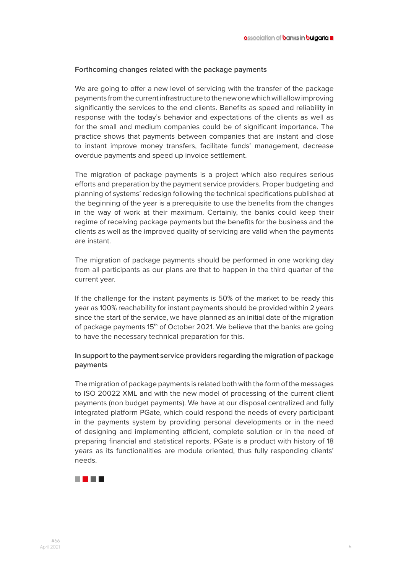#### **Forthcoming changes related with the package payments**

We are going to offer a new level of servicing with the transfer of the package payments from the current infrastructure to the new one which will allow improving significantly the services to the end clients. Benefits as speed and reliability in response with the today's behavior and expectations of the clients as well as for the small and medium companies could be of significant importance. The practice shows that payments between companies that are instant and close to instant improve money transfers, facilitate funds' management, decrease overdue payments and speed up invoice settlement.

The migration of package payments is a project which also requires serious efforts and preparation by the payment service providers. Proper budgeting and planning of systems' redesign following the technical specifications published at the beginning of the year is a prerequisite to use the benefits from the changes in the way of work at their maximum. Certainly, the banks could keep their regime of receiving package payments but the benefits for the business and the clients as well as the improved quality of servicing are valid when the payments are instant.

The migration of package payments should be performed in one working day from all participants as our plans are that to happen in the third quarter of the current year.

If the challenge for the instant payments is 50% of the market to be ready this year as 100% reachability for instant payments should be provided within 2 years since the start of the service, we have planned as an initial date of the migration of package payments 15<sup>th</sup> of October 2021. We believe that the banks are going to have the necessary technical preparation for this.

#### **In support to the payment service providers regarding the migration of package payments**

The migration of package payments is related both with the form of the messages to ISO 20022 XML and with the new model of processing of the current client payments (non budget payments). We have at our disposal centralized and fully integrated platform PGate, which could respond the needs of every participant in the payments system by providing personal developments or in the need of designing and implementing efficient, complete solution or in the need of preparing financial and statistical reports. PGate is a product with history of 18 years as its functionalities are module oriented, thus fully responding clients' needs.

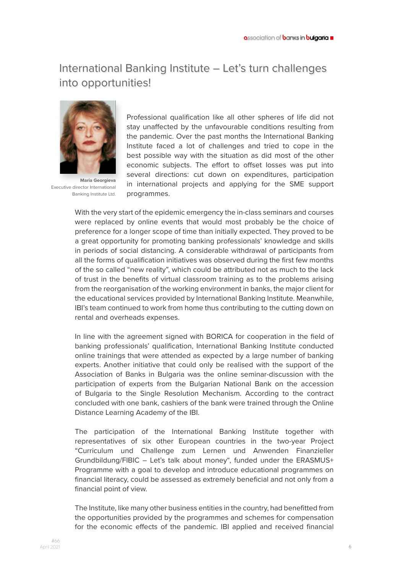### International Banking Institute – Let's turn challenges into opportunities!



**Maria Georgieva** Executive director International Banking Institute Ltd.

Professional qualification like all other spheres of life did not stay unaffected by the unfavourable conditions resulting from the pandemic. Over the past months the International Banking Institute faced a lot of challenges and tried to cope in the best possible way with the situation as did most of the other economic subjects. The effort to offset losses was put into several directions: cut down on expenditures, participation in international projects and applying for the SME support programmes.

With the very start of the epidemic emergency the in-class seminars and courses were replaced by online events that would most probably be the choice of preference for a longer scope of time than initially expected. They proved to be a great opportunity for promoting banking professionals' knowledge and skills in periods of social distancing. A considerable withdrawal of participants from all the forms of qualification initiatives was observed during the first few months of the so called "new reality", which could be attributed not as much to the lack of trust in the benefits of virtual classroom training as to the problems arising from the reorganisation of the working environment in banks, the major client for the educational services provided by International Banking Institute. Meanwhile, IBI's team continued to work from home thus contributing to the cutting down on rental and overheads expenses.

In line with the agreement signed with BORICA for cooperation in the field of banking professionals' qualification, International Banking Institute conducted online trainings that were attended as expected by a large number of banking experts. Another initiative that could only be realised with the support of the Association of Banks in Bulgaria was the online seminar-discussion with the participation of experts from the Bulgarian National Bank on the accession of Bulgaria to the Single Resolution Mechanism. According to the contract concluded with one bank, cashiers of the bank were trained through the Online Distance Learning Academy of the IBI.

The participation of the International Banking Institute together with representatives of six other European countries in the two-year Project "Curriculum und Challenge zum Lernen und Anwenden Finanzieller Grundbildung/FIBIC – Let's talk about money", funded under the ERASMUS+ Programme with a goal to develop and introduce educational programmes on financial literacy, could be assessed as extremely beneficial and not only from a financial point of view.

The Institute, like many other business entities in the country, had benefitted from the opportunities provided by the programmes and schemes for compensation for the economic effects of the pandemic. IBI applied and received financial